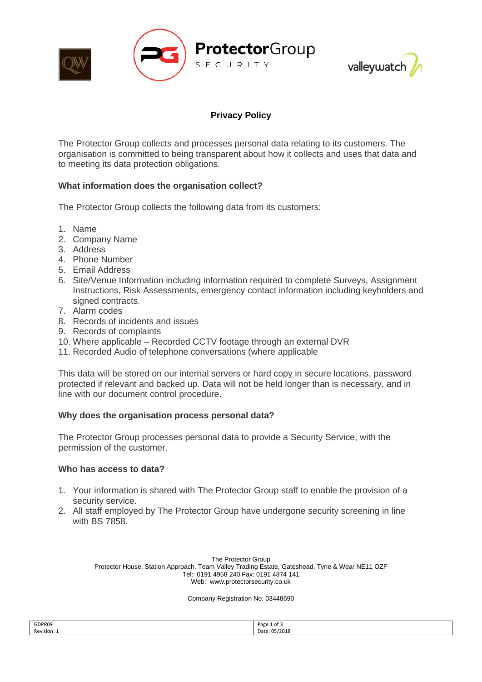



# **Privacy Policy**

The Protector Group collects and processes personal data relating to its customers. The organisation is committed to being transparent about how it collects and uses that data and to meeting its data protection obligations.

## **What information does the organisation collect?**

The Protector Group collects the following data from its customers:

- 1. Name
- 2. Company Name
- 3. Address
- 4. Phone Number
- 5. Email Address
- 6. Site/Venue Information including information required to complete Surveys, Assignment Instructions, Risk Assessments, emergency contact information including keyholders and signed contracts.
- 7. Alarm codes
- 8. Records of incidents and issues
- 9. Records of complaints
- 10. Where applicable Recorded CCTV footage through an external DVR
- 11. Recorded Audio of telephone conversations (where applicable

This data will be stored on our internal servers or hard copy in secure locations, password protected if relevant and backed up. Data will not be held longer than is necessary, and in line with our document control procedure.

### **Why does the organisation process personal data?**

The Protector Group processes personal data to provide a Security Service, with the permission of the customer.

#### **Who has access to data?**

- 1. Your information is shared with The Protector Group staff to enable the provision of a security service.
- 2. All staff employed by The Protector Group have undergone security screening in line with BS 7858.

The Protector Group Protector House, Station Approach, Team Valley Trading Estate, Gateshead, Tyne & Wear NE11 OZF Tel: 0191 4958 240 Fax: 0191 4874 141 Web: www.protectorsecurity.co.uk

Company Registration No: 03448690

| GDPR09      | Page 1 of 3<br>____ |
|-------------|---------------------|
| Revision: 1 | Date: 05/2018       |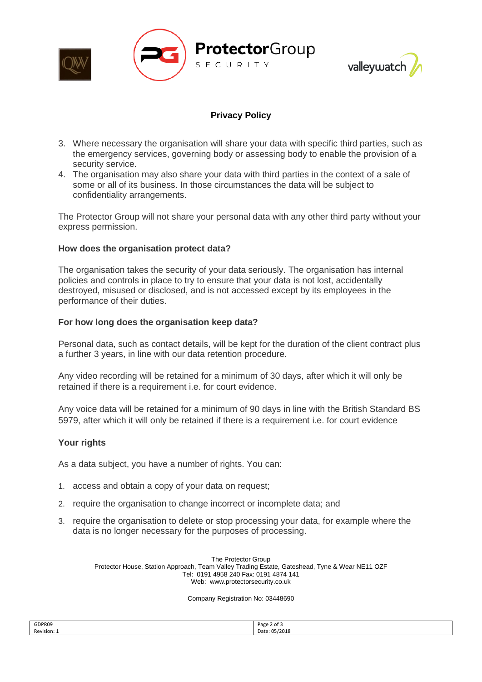



## **Privacy Policy**

- 3. Where necessary the organisation will share your data with specific third parties, such as the emergency services, governing body or assessing body to enable the provision of a security service.
- 4. The organisation may also share your data with third parties in the context of a sale of some or all of its business. In those circumstances the data will be subject to confidentiality arrangements.

The Protector Group will not share your personal data with any other third party without your express permission.

### **How does the organisation protect data?**

The organisation takes the security of your data seriously. The organisation has internal policies and controls in place to try to ensure that your data is not lost, accidentally destroyed, misused or disclosed, and is not accessed except by its employees in the performance of their duties.

#### **For how long does the organisation keep data?**

Personal data, such as contact details, will be kept for the duration of the client contract plus a further 3 years, in line with our data retention procedure.

Any video recording will be retained for a minimum of 30 days, after which it will only be retained if there is a requirement i.e. for court evidence.

Any voice data will be retained for a minimum of 90 days in line with the British Standard BS 5979, after which it will only be retained if there is a requirement i.e. for court evidence

#### **Your rights**

As a data subject, you have a number of rights. You can:

- 1. access and obtain a copy of your data on request;
- 2. require the organisation to change incorrect or incomplete data; and
- 3. require the organisation to delete or stop processing your data, for example where the data is no longer necessary for the purposes of processing.

The Protector Group Protector House, Station Approach, Team Valley Trading Estate, Gateshead, Tyne & Wear NE11 OZF Tel: 0191 4958 240 Fax: 0191 4874 141 Web: www.protectorsecurity.co.uk

#### Company Registration No: 03448690

| GDPR09      | Page 2 of 5   |
|-------------|---------------|
| Revision: 1 | Date: 05/2018 |